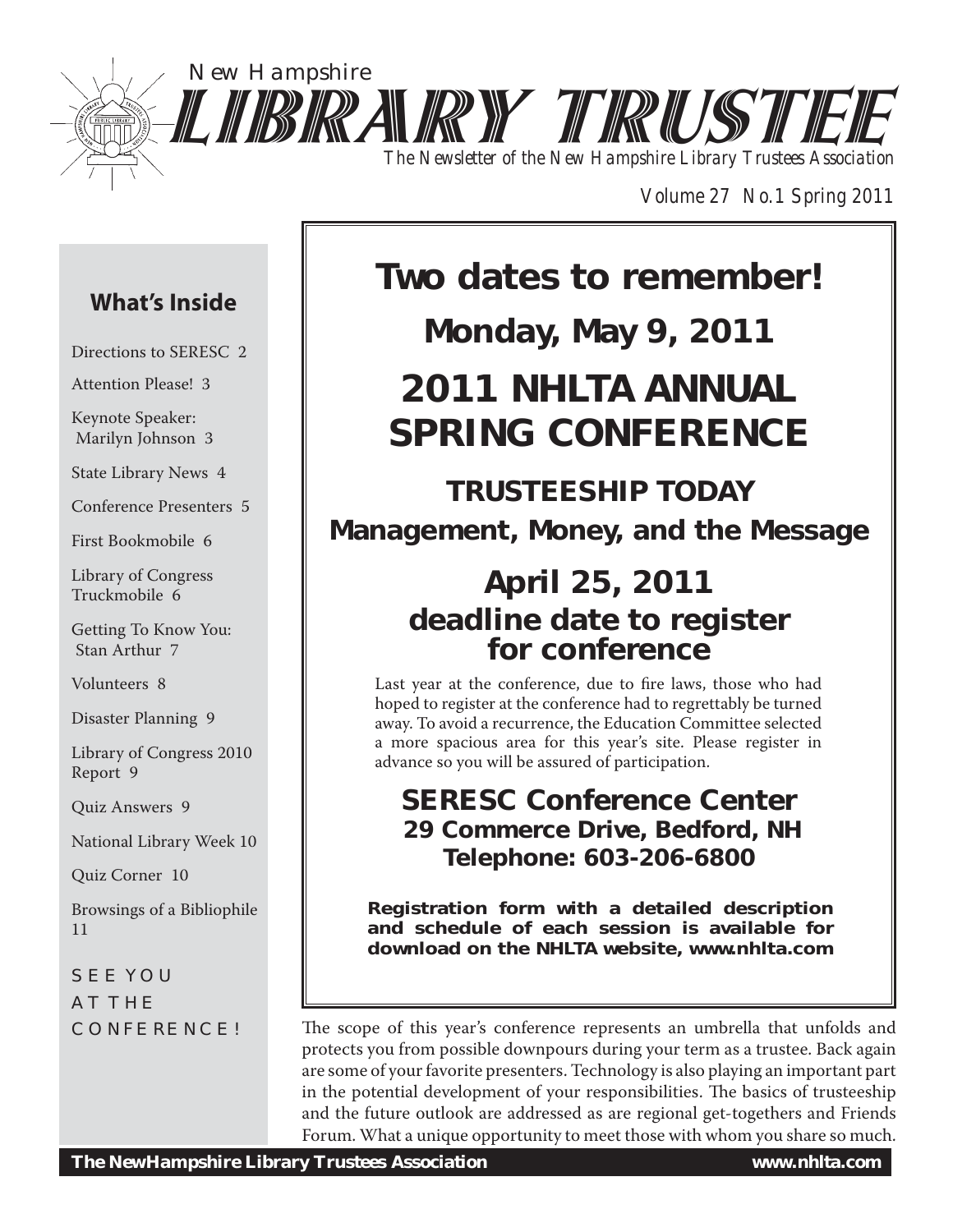

*Volume 27 No.1 Spring 2011*

## **What's Inside**

Directions to SERESC 2

Attention Please! 3

Keynote Speaker: Marilyn Johnson 3

State Library News 4

Conference Presenters 5

First Bookmobile 6

Library of Congress Truckmobile 6

Getting To Know You: Stan Arthur 7

Volunteers 8

Disaster Planning 9

Library of Congress 2010 Report 9

Quiz Answers 9

National Library Week 10

Quiz Corner 10

Browsings of a Bibliophile 11

SEE YOU AT THE CONFERENCE!

# **Two dates to remember!**

## **Monday, May 9, 2011**

# **2011 NHLTA ANNUAL SPRING CONFERENCE**

## **TRUSTEESHIP TODAY Management, Money, and the Message**

## **April 25, 2011 deadline date to register for conference**

Last year at the conference, due to fire laws, those who had hoped to register at the conference had to regrettably be turned away. To avoid a recurrence, the Education Committee selected a more spacious area for this year's site. Please register in advance so you will be assured of participation.

## **SERESC Conference Center 29 Commerce Drive, Bedford, NH Telephone: 603-206-6800**

**Registration form with a detailed description and schedule of each session is available for download on the NHLTA website, www.nhlta.com**

The scope of this year's conference represents an umbrella that unfolds and protects you from possible downpours during your term as a trustee. Back again are some of your favorite presenters. Technology is also playing an important part in the potential development of your responsibilities. The basics of trusteeship and the future outlook are addressed as are regional get-togethers and Friends Forum. What a unique opportunity to meet those with whom you share so much.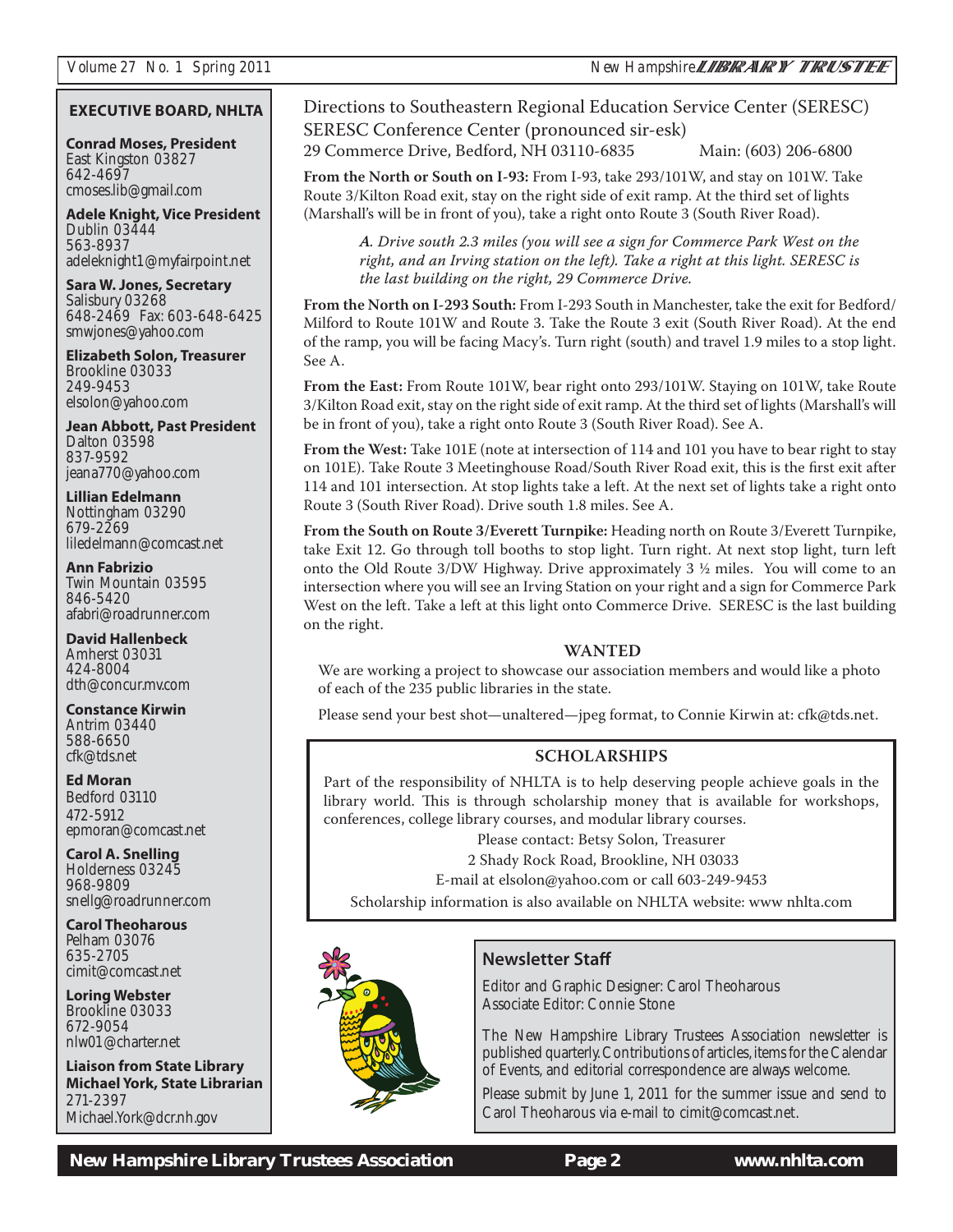#### **EXECUTIVE BOARD, NHLTA**

**Conrad Moses, President** East Kingston 03827 642-4697 cmoses.lib@gmail.com

**Adele Knight, Vice President** Dublin 03444 563-8937 adeleknight1@myfairpoint.net

**Sara W. Jones, Secretary** Salisbury 03268 648-2469 Fax: 603-648-6425 smwjones@yahoo.com

**Elizabeth Solon, Treasurer** Brookline 03033 249-9453 elsolon@yahoo.com

**Jean Abbott, Past President** Dalton 03598 837-9592 jeana770@yahoo.com

**Lillian Edelmann** Nottingham 03290 679-2269 liledelmann@comcast.net

**Ann Fabrizio** Twin Mountain 03595 846-5420 afabri@roadrunner.com

**David Hallenbeck** Amherst 03031 424-8004 dth@concur.mv.com

**Constance Kirwin** Antrim 03440 588-6650 cfk@tds.net

**Ed Moran** Bedford 03110 472-5912 epmoran@comcast.net

**Carol A. Snelling** Holderness 03245 968-9809 snellg@roadrunner.com

**Carol Theoharous** Pelham 03076 635-2705 cimit@comcast.net

**Loring Webster** Brookline 03033 672-9054 nlw01@charter.net

**Liaison from State Library Michael York, State Librarian** 271-2397 Michael.York@dcr.nh.gov

#### Directions to Southeastern Regional Education Service Center (SERESC) SERESC Conference Center (pronounced sir-esk)

29 Commerce Drive, Bedford, NH 03110-6835 Main: (603) 206-6800

**From the North or South on I-93:** From I-93, take 293/101W, and stay on 101W. Take Route 3/Kilton Road exit, stay on the right side of exit ramp. At the third set of lights (Marshall's will be in front of you), take a right onto Route 3 (South River Road).

*A. Drive south 2.3 miles (you will see a sign for Commerce Park West on the right, and an Irving station on the left). Take a right at this light. SERESC is the last building on the right, 29 Commerce Drive.*

**From the North on I-293 South:** From I-293 South in Manchester, take the exit for Bedford/ Milford to Route 101W and Route 3. Take the Route 3 exit (South River Road). At the end of the ramp, you will be facing Macy's. Turn right (south) and travel 1.9 miles to a stop light. See A.

**From the East:** From Route 101W, bear right onto 293/101W. Staying on 101W, take Route 3/Kilton Road exit, stay on the right side of exit ramp. At the third set of lights (Marshall's will be in front of you), take a right onto Route 3 (South River Road). See A.

**From the West:** Take 101E (note at intersection of 114 and 101 you have to bear right to stay on 101E). Take Route 3 Meetinghouse Road/South River Road exit, this is the first exit after 114 and 101 intersection. At stop lights take a left. At the next set of lights take a right onto Route 3 (South River Road). Drive south 1.8 miles. See A.

**From the South on Route 3/Everett Turnpike:** Heading north on Route 3/Everett Turnpike, take Exit 12. Go through toll booths to stop light. Turn right. At next stop light, turn left onto the Old Route 3/DW Highway. Drive approximately  $3\frac{1}{2}$  miles. You will come to an intersection where you will see an Irving Station on your right and a sign for Commerce Park West on the left. Take a left at this light onto Commerce Drive. SERESC is the last building on the right.

#### **WANTED**

We are working a project to showcase our association members and would like a photo of each of the 235 public libraries in the state.

Please send your best shot—unaltered—jpeg format, to Connie Kirwin at: cfk@tds.net.

#### **SCHOLARSHIPS**

Part of the responsibility of NHLTA is to help deserving people achieve goals in the library world. This is through scholarship money that is available for workshops, conferences, college library courses, and modular library courses.

Please contact: Betsy Solon, Treasurer

2 Shady Rock Road, Brookline, NH 03033

E-mail at elsolon@yahoo.com or call 603-249-9453

Scholarship information is also available on NHLTA website: www nhlta.com



#### **Newsletter Staff**

Editor and Graphic Designer: Carol Theoharous Associate Editor: Connie Stone

The New Hampshire Library Trustees Association newsletter is published quarterly. Contributions of articles, items for the Calendar of Events, and editorial correspondence are always welcome.

Please submit by June 1, 2011 for the summer issue and send to Carol Theoharous via e-mail to cimit@comcast.net.

 *New Hampshire Library Trustees Association* **Page 2 www.nhlta.com**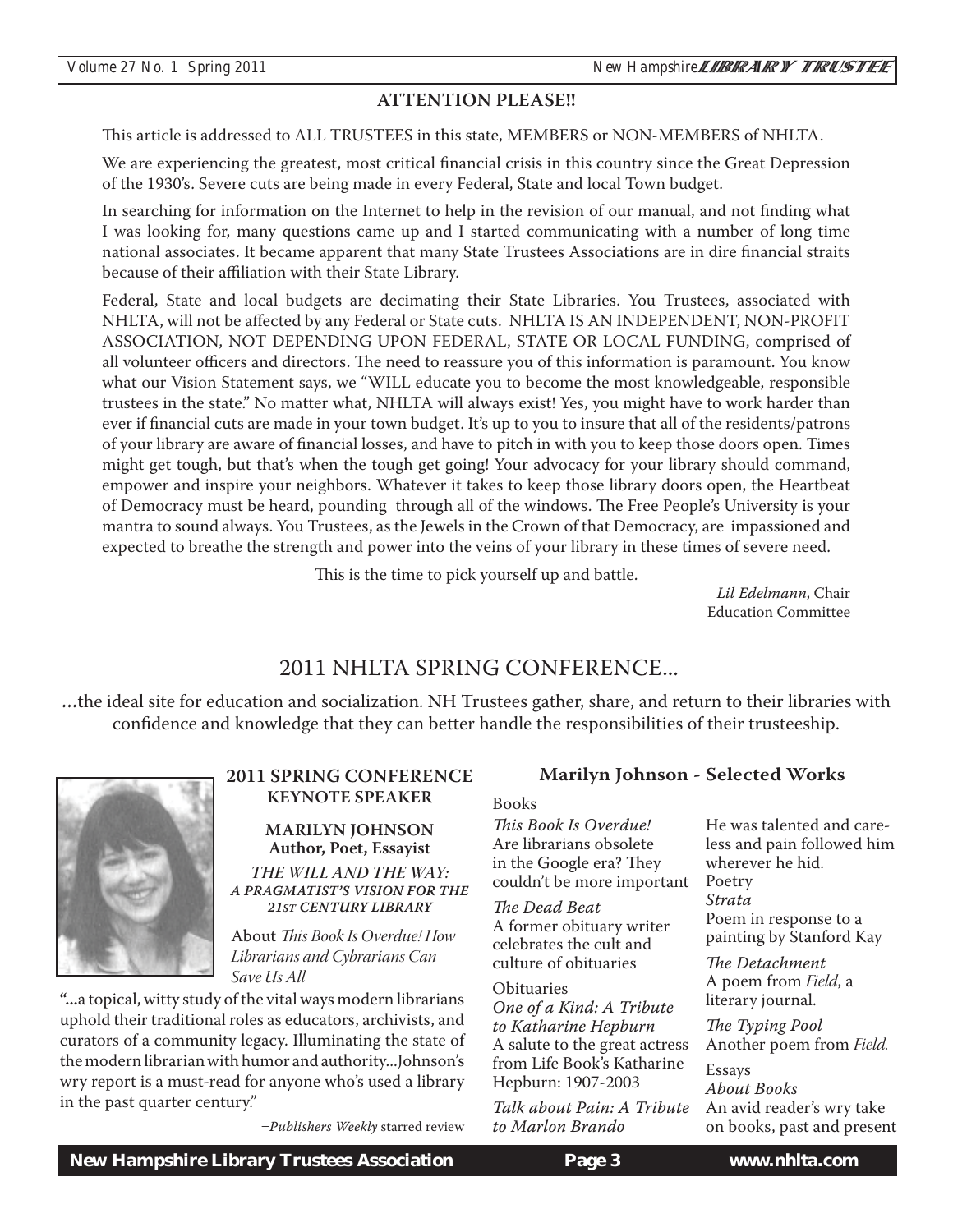#### **ATTENTION PLEASE!!**

This article is addressed to ALL TRUSTEES in this state, MEMBERS or NON-MEMBERS of NHLTA.

We are experiencing the greatest, most critical financial crisis in this country since the Great Depression of the 1930's. Severe cuts are being made in every Federal, State and local Town budget.

In searching for information on the Internet to help in the revision of our manual, and not finding what I was looking for, many questions came up and I started communicating with a number of long time national associates. It became apparent that many State Trustees Associations are in dire financial straits because of their affiliation with their State Library.

Federal, State and local budgets are decimating their State Libraries. You Trustees, associated with NHLTA, will not be affected by any Federal or State cuts. NHLTA IS AN INDEPENDENT, NON-PROFIT ASSOCIATION, NOT DEPENDING UPON FEDERAL, STATE OR LOCAL FUNDING, comprised of all volunteer officers and directors. The need to reassure you of this information is paramount. You know what our Vision Statement says, we "WILL educate you to become the most knowledgeable, responsible trustees in the state." No matter what, NHLTA will always exist! Yes, you might have to work harder than ever if financial cuts are made in your town budget. It's up to you to insure that all of the residents/patrons of your library are aware of financial losses, and have to pitch in with you to keep those doors open. Times might get tough, but that's when the tough get going! Your advocacy for your library should command, empower and inspire your neighbors. Whatever it takes to keep those library doors open, the Heartbeat of Democracy must be heard, pounding through all of the windows. The Free People's University is your mantra to sound always. You Trustees, as the Jewels in the Crown of that Democracy, are impassioned and expected to breathe the strength and power into the veins of your library in these times of severe need.

This is the time to pick yourself up and battle.

*Lil Edelmann*, Chair Education Committee

#### 2011 NHLTA SPRING CONFERENCE...

...the ideal site for education and socialization. NH Trustees gather, share, and return to their libraries with confidence and knowledge that they can better handle the responsibilities of their trusteeship.



#### **2011 SPRING CONFERENCE KEYNOTE SPEAKER**

**MARILYN JOHNSON Author, Poet, Essayist** *THE WILL AND THE WAY: A PRAGMATIST'S VISION FOR THE 21ST CENTURY LIBRARY*

About *This Book Is Overdue! How Librarians and Cybrarians Can Save Us All*

**"...**a topical, witty study of the vital ways modern librarians uphold their traditional roles as educators, archivists, and curators of a community legacy. Illuminating the state of the modern librarian with humor and authority...Johnson's wry report is a must-read for anyone who's used a library in the past quarter century."

*Publishers Weekly* starred review

#### **Marilyn Johnson - Selected Works**

Books

*This Book Is Overdue!* Are librarians obsolete in the Google era? They couldn't be more important

*The Dead Beat* A former obituary writer celebrates the cult and culture of obituaries

**Obituaries** *One of a Kind: A Tribute to Katharine Hepburn* A salute to the great actress from Life Book's Katharine Hepburn: 1907-2003

*Talk about Pain: A Tribute to Marlon Brando*

He was talented and careless and pain followed him wherever he hid. Poetry *Strata* Poem in response to a painting by Stanford Kay *The Detachment*

A poem from *Field*, a literary journal.

*The Typing Pool* Another poem from *Field.*

Essays *About Books* An avid reader's wry take on books, past and present

 *New Hampshire Library Trustees Association* **Page 3 www.nhlta.com**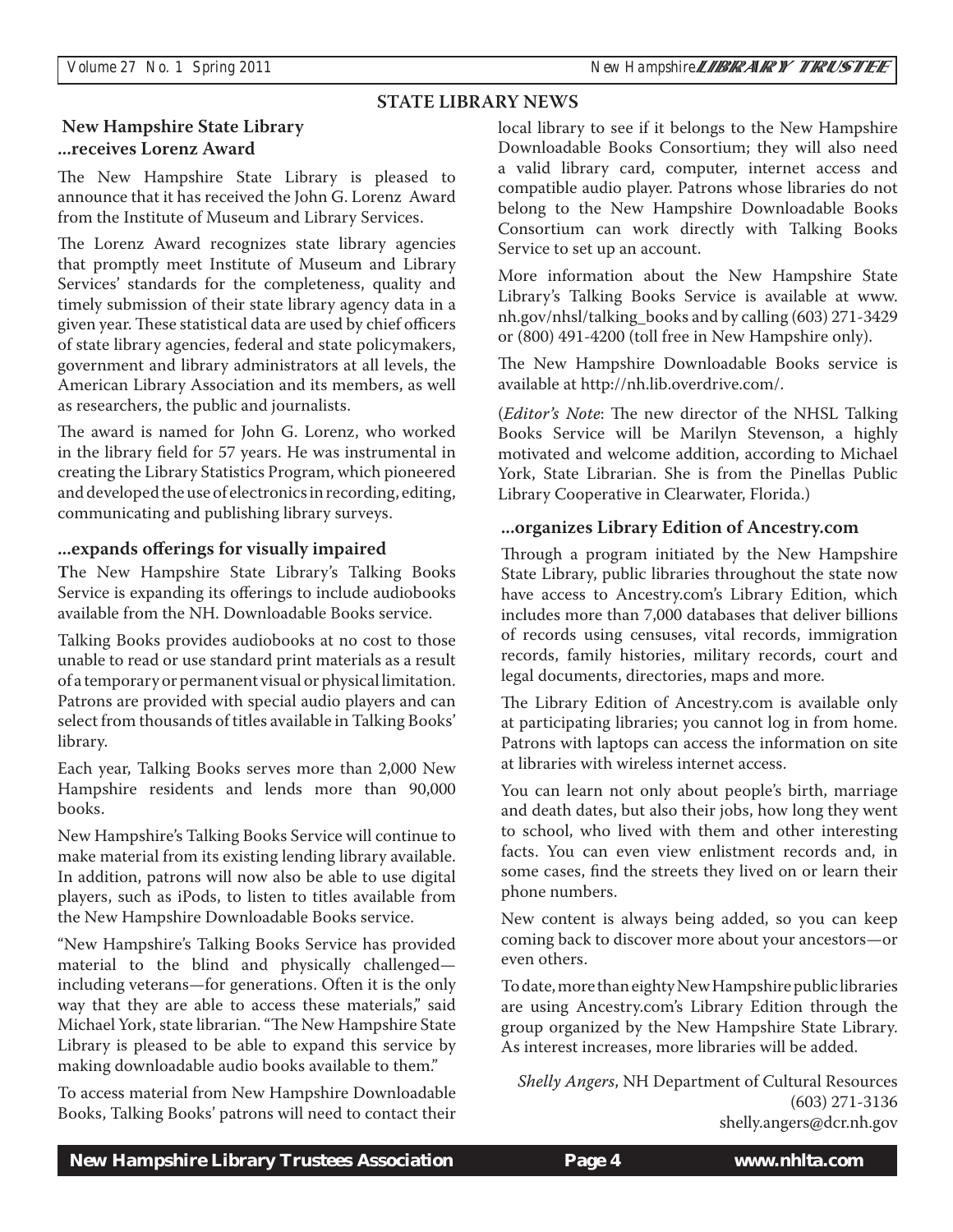#### **STATE LIBRARY NEWS**

#### **New Hampshire State Library ...receives Lorenz Award**

The New Hampshire State Library is pleased to announce that it has received the John G. Lorenz Award from the Institute of Museum and Library Services.

The Lorenz Award recognizes state library agencies that promptly meet Institute of Museum and Library Services' standards for the completeness, quality and timely submission of their state library agency data in a given year. These statistical data are used by chief officers of state library agencies, federal and state policymakers, government and library administrators at all levels, the American Library Association and its members, as well as researchers, the public and journalists.

The award is named for John G. Lorenz, who worked in the library field for 57 years. He was instrumental in creating the Library Statistics Program, which pioneered and developed the use of electronics in recording, editing, communicating and publishing library surveys.

#### **...expands offerings for visually impaired**

**T**he New Hampshire State Library's Talking Books Service is expanding its offerings to include audiobooks available from the NH. Downloadable Books service.

Talking Books provides audiobooks at no cost to those unable to read or use standard print materials as a result of a temporary or permanent visual or physical limitation. Patrons are provided with special audio players and can select from thousands of titles available in Talking Books' library.

Each year, Talking Books serves more than 2,000 New Hampshire residents and lends more than 90,000 books.

New Hampshire's Talking Books Service will continue to make material from its existing lending library available. In addition, patrons will now also be able to use digital players, such as iPods, to listen to titles available from the New Hampshire Downloadable Books service.

"New Hampshire's Talking Books Service has provided material to the blind and physically challenged including veterans—for generations. Often it is the only way that they are able to access these materials," said Michael York, state librarian. "The New Hampshire State Library is pleased to be able to expand this service by making downloadable audio books available to them."

To access material from New Hampshire Downloadable Books, Talking Books' patrons will need to contact their local library to see if it belongs to the New Hampshire Downloadable Books Consortium; they will also need a valid library card, computer, internet access and compatible audio player. Patrons whose libraries do not belong to the New Hampshire Downloadable Books Consortium can work directly with Talking Books Service to set up an account.

More information about the New Hampshire State Library's Talking Books Service is available at www. nh.gov/nhsl/talking\_books and by calling (603) 271-3429 or (800) 491-4200 (toll free in New Hampshire only).

The New Hampshire Downloadable Books service is available at http://nh.lib.overdrive.com/.

 Library Cooperative in Clearwater, Florida.) (*Editor's Note*: The new director of the NHSL Talking Books Service will be Marilyn Stevenson, a highly motivated and welcome addition, according to Michael York, State Librarian. She is from the Pinellas Public

#### **...organizes Library Edition of Ancestry.com**

Through a program initiated by the New Hampshire State Library, public libraries throughout the state now have access to Ancestry.com's Library Edition, which includes more than 7,000 databases that deliver billions of records using censuses, vital records, immigration records, family histories, military records, court and legal documents, directories, maps and more.

The Library Edition of Ancestry.com is available only at participating libraries; you cannot log in from home. Patrons with laptops can access the information on site at libraries with wireless internet access.

You can learn not only about people's birth, marriage and death dates, but also their jobs, how long they went to school, who lived with them and other interesting facts. You can even view enlistment records and, in some cases, find the streets they lived on or learn their phone numbers.

New content is always being added, so you can keep coming back to discover more about your ancestors—or even others.

To date, more than eighty New Hampshire public libraries are using Ancestry.com's Library Edition through the group organized by the New Hampshire State Library. As interest increases, more libraries will be added.

 *Shelly Angers*, NH Department of Cultural Resources (603) 271-3136 shelly.angers@dcr.nh.gov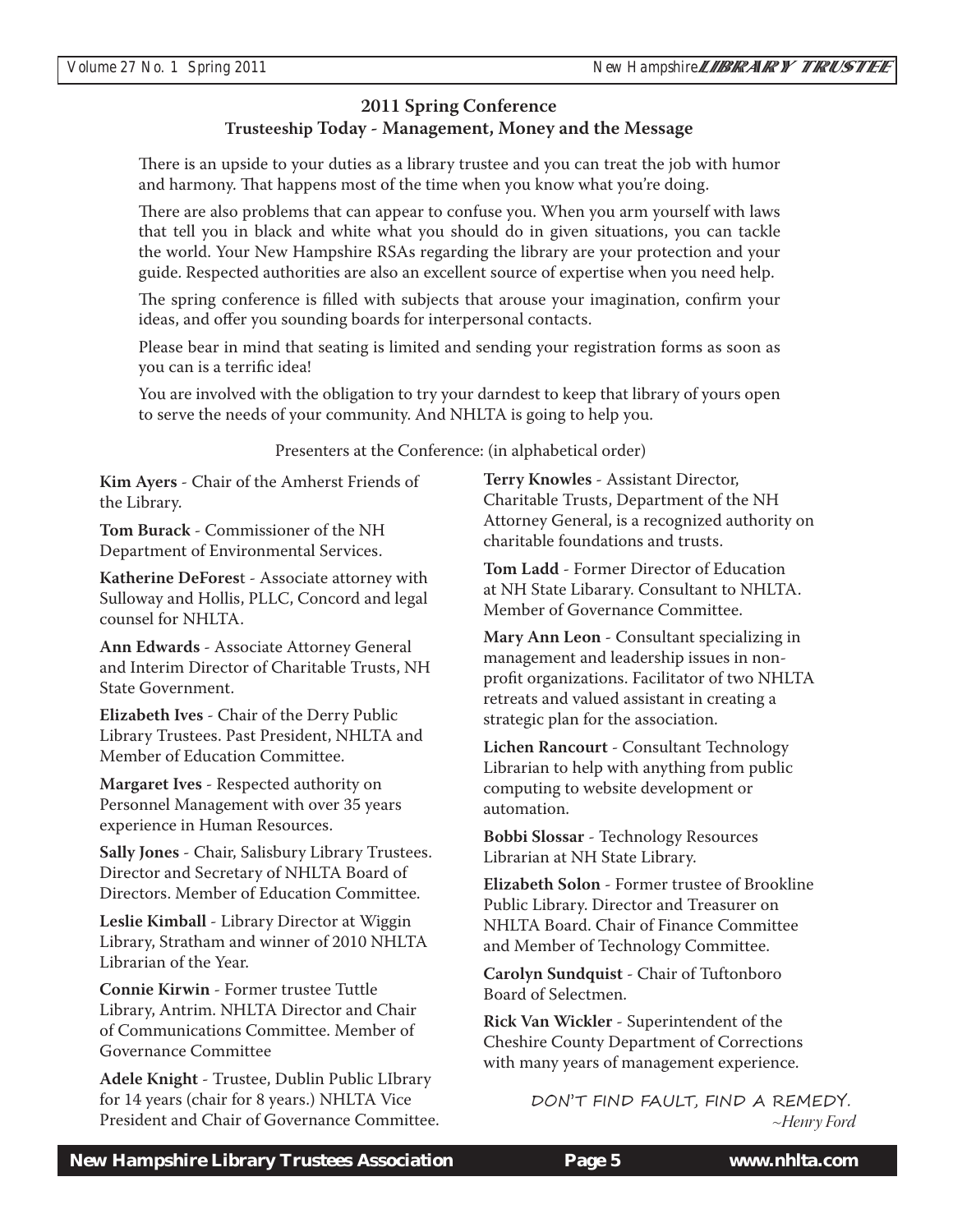#### **2011 Spring Conference Trusteeship Today - Management, Money and the Message**

There is an upside to your duties as a library trustee and you can treat the job with humor and harmony. That happens most of the time when you know what you're doing.

There are also problems that can appear to confuse you. When you arm yourself with laws that tell you in black and white what you should do in given situations, you can tackle the world. Your New Hampshire RSAs regarding the library are your protection and your guide. Respected authorities are also an excellent source of expertise when you need help.

The spring conference is filled with subjects that arouse your imagination, confirm your ideas, and offer you sounding boards for interpersonal contacts.

Please bear in mind that seating is limited and sending your registration forms as soon as you can is a terrific idea!

You are involved with the obligation to try your darndest to keep that library of yours open to serve the needs of your community. And NHLTA is going to help you.

Presenters at the Conference: (in alphabetical order)

**Kim Ayers** - Chair of the Amherst Friends of the Library.

**Tom Burack** - Commissioner of the NH Department of Environmental Services.

**Katherine DeFores**t - Associate attorney with Sulloway and Hollis, PLLC, Concord and legal counsel for NHLTA.

**Ann Edwards** - Associate Attorney General and Interim Director of Charitable Trusts, NH State Government.

**Elizabeth Ives** - Chair of the Derry Public Library Trustees. Past President, NHLTA and Member of Education Committee.

**Margaret Ives** - Respected authority on Personnel Management with over 35 years experience in Human Resources.

**Sally Jones** - Chair, Salisbury Library Trustees. Director and Secretary of NHLTA Board of Directors. Member of Education Committee.

**Leslie Kimball** - Library Director at Wiggin Library, Stratham and winner of 2010 NHLTA Librarian of the Year.

**Connie Kirwin** - Former trustee Tuttle Library, Antrim. NHLTA Director and Chair of Communications Committee. Member of Governance Committee

**Adele Knight** - Trustee, Dublin Public LIbrary for 14 years (chair for 8 years.) NHLTA Vice President and Chair of Governance Committee. **Terry Knowles** - Assistant Director, Charitable Trusts, Department of the NH Attorney General, is a recognized authority on charitable foundations and trusts.

**Tom Ladd** - Former Director of Education at NH State Libarary. Consultant to NHLTA. Member of Governance Committee.

**Mary Ann Leon** - Consultant specializing in management and leadership issues in nonprofit organizations. Facilitator of two NHLTA retreats and valued assistant in creating a strategic plan for the association.

**Lichen Rancourt** - Consultant Technology Librarian to help with anything from public computing to website development or automation.

**Bobbi Slossar** - Technology Resources Librarian at NH State Library.

**Elizabeth Solon** - Former trustee of Brookline Public Library. Director and Treasurer on NHLTA Board. Chair of Finance Committee and Member of Technology Committee.

**Carolyn Sundquist** - Chair of Tuftonboro Board of Selectmen.

**Rick Van Wickler** - Superintendent of the Cheshire County Department of Corrections with many years of management experience.

> DON'T FIND FAULT, FIND A REMEDY. *~Henry Ford*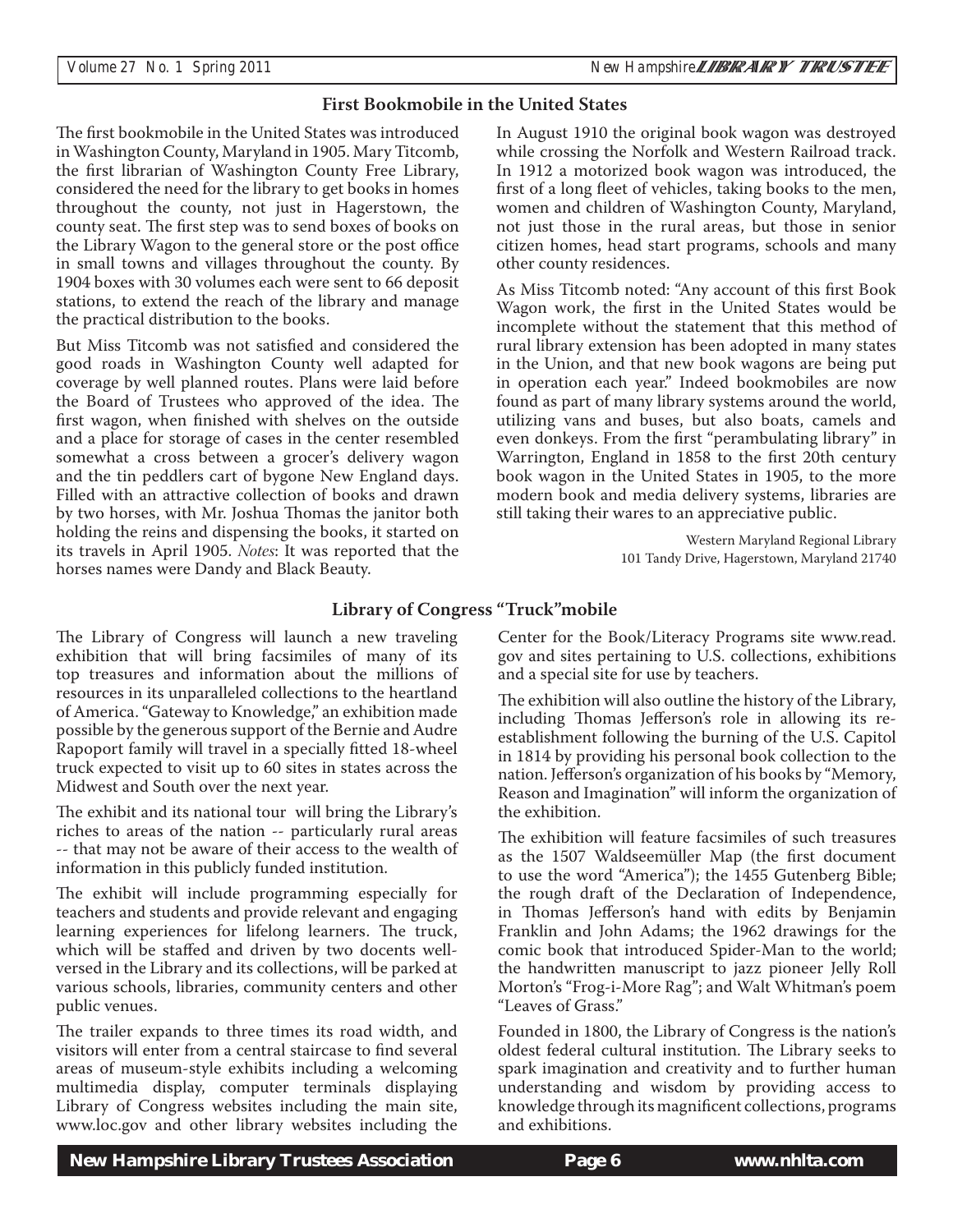#### **First Bookmobile in the United States**

The first bookmobile in the United States was introduced in Washington County, Maryland in 1905. Mary Titcomb, the first librarian of Washington County Free Library, considered the need for the library to get books in homes throughout the county, not just in Hagerstown, the county seat. The first step was to send boxes of books on the Library Wagon to the general store or the post office in small towns and villages throughout the county. By 1904 boxes with 30 volumes each were sent to 66 deposit stations, to extend the reach of the library and manage the practical distribution to the books.

But Miss Titcomb was not satisfied and considered the good roads in Washington County well adapted for coverage by well planned routes. Plans were laid before the Board of Trustees who approved of the idea. The first wagon, when finished with shelves on the outside and a place for storage of cases in the center resembled somewhat a cross between a grocer's delivery wagon and the tin peddlers cart of bygone New England days. Filled with an attractive collection of books and drawn by two horses, with Mr. Joshua Thomas the janitor both holding the reins and dispensing the books, it started on its travels in April 1905. *Notes*: It was reported that the horses names were Dandy and Black Beauty.

In August 1910 the original book wagon was destroyed while crossing the Norfolk and Western Railroad track. In 1912 a motorized book wagon was introduced, the first of a long fleet of vehicles, taking books to the men, women and children of Washington County, Maryland, not just those in the rural areas, but those in senior citizen homes, head start programs, schools and many other county residences.

As Miss Titcomb noted: "Any account of this first Book Wagon work, the first in the United States would be incomplete without the statement that this method of rural library extension has been adopted in many states in the Union, and that new book wagons are being put in operation each year." Indeed bookmobiles are now found as part of many library systems around the world, utilizing vans and buses, but also boats, camels and even donkeys. From the first "perambulating library" in Warrington, England in 1858 to the first 20th century book wagon in the United States in 1905, to the more modern book and media delivery systems, libraries are still taking their wares to an appreciative public.

> Western Maryland Regional Library 101 Tandy Drive, Hagerstown, Maryland 21740

#### **Library of Congress "Truck"mobile**

The Library of Congress will launch a new traveling exhibition that will bring facsimiles of many of its top treasures and information about the millions of resources in its unparalleled collections to the heartland of America. "Gateway to Knowledge," an exhibition made possible by the generous support of the Bernie and Audre Rapoport family will travel in a specially fitted 18-wheel truck expected to visit up to 60 sites in states across the Midwest and South over the next year.

The exhibit and its national tour will bring the Library's riches to areas of the nation -- particularly rural areas -- that may not be aware of their access to the wealth of information in this publicly funded institution.

The exhibit will include programming especially for teachers and students and provide relevant and engaging learning experiences for lifelong learners. The truck, which will be staffed and driven by two docents wellversed in the Library and its collections, will be parked at various schools, libraries, community centers and other public venues.

The trailer expands to three times its road width, and visitors will enter from a central staircase to find several areas of museum-style exhibits including a welcoming multimedia display, computer terminals displaying Library of Congress websites including the main site, www.loc.gov and other library websites including the

Center for the Book/Literacy Programs site www.read. gov and sites pertaining to U.S. collections, exhibitions and a special site for use by teachers.

The exhibition will also outline the history of the Library, including Thomas Jefferson's role in allowing its reestablishment following the burning of the U.S. Capitol in 1814 by providing his personal book collection to the nation. Jefferson's organization of his books by "Memory, Reason and Imagination" will inform the organization of the exhibition.

The exhibition will feature facsimiles of such treasures as the 1507 Waldseemüller Map (the first document to use the word "America"); the 1455 Gutenberg Bible; the rough draft of the Declaration of Independence, in Thomas Jefferson's hand with edits by Benjamin Franklin and John Adams; the 1962 drawings for the comic book that introduced Spider-Man to the world; the handwritten manuscript to jazz pioneer Jelly Roll Morton's "Frog-i-More Rag"; and Walt Whitman's poem "Leaves of Grass."

Founded in 1800, the Library of Congress is the nation's oldest federal cultural institution. The Library seeks to spark imagination and creativity and to further human understanding and wisdom by providing access to knowledge through its magnificent collections, programs and exhibitions.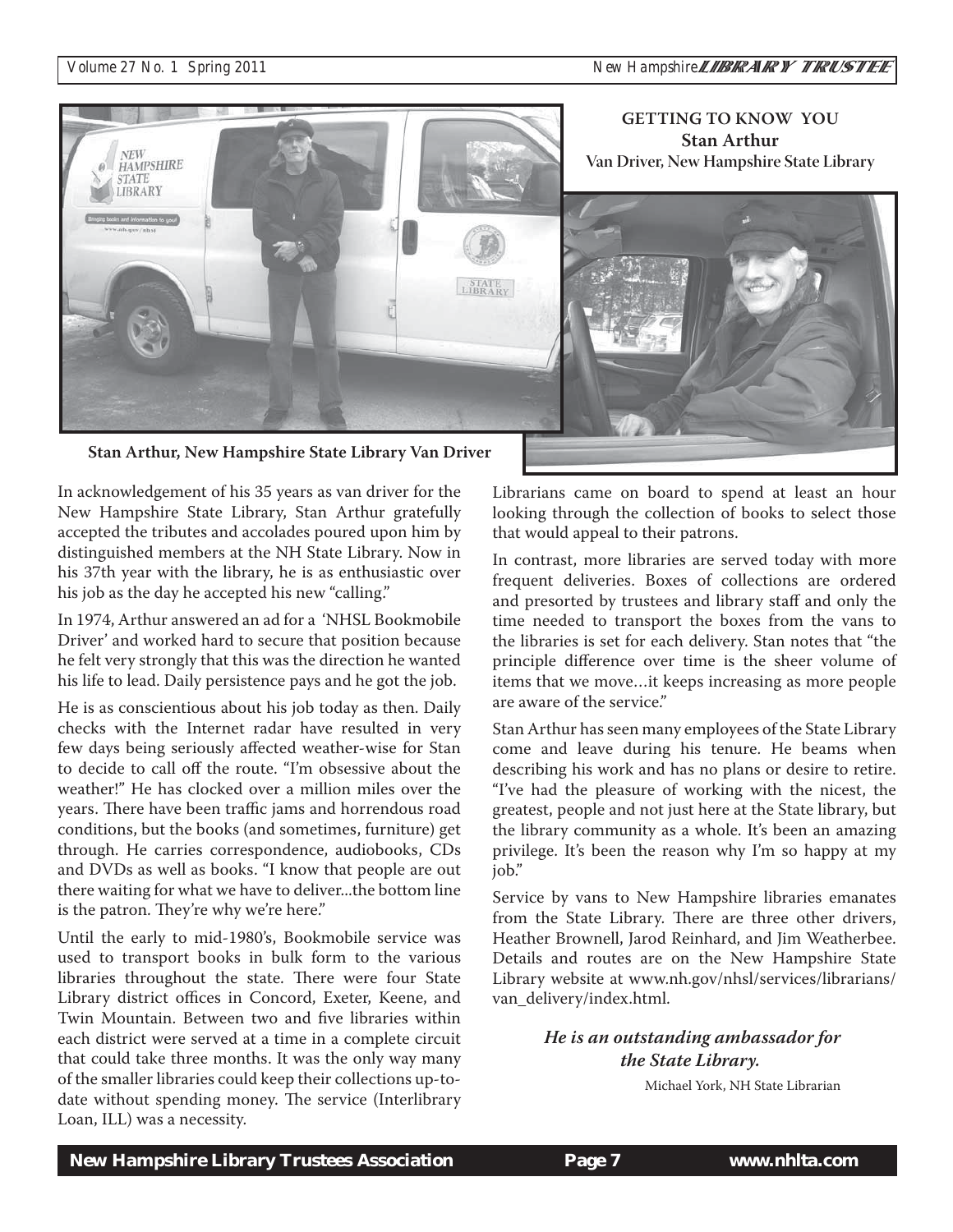

**Stan Arthur, New Hampshire State Library Van Driver**

In acknowledgement of his 35 years as van driver for the New Hampshire State Library, Stan Arthur gratefully accepted the tributes and accolades poured upon him by distinguished members at the NH State Library. Now in his 37th year with the library, he is as enthusiastic over his job as the day he accepted his new "calling."

In 1974, Arthur answered an ad for a 'NHSL Bookmobile Driver' and worked hard to secure that position because he felt very strongly that this was the direction he wanted his life to lead. Daily persistence pays and he got the job.

He is as conscientious about his job today as then. Daily checks with the Internet radar have resulted in very few days being seriously affected weather-wise for Stan to decide to call off the route. "I'm obsessive about the weather!" He has clocked over a million miles over the years. There have been traffic jams and horrendous road conditions, but the books (and sometimes, furniture) get through. He carries correspondence, audiobooks, CDs and DVDs as well as books. "I know that people are out there waiting for what we have to deliver...the bottom line is the patron. They're why we're here."

Until the early to mid-1980's, Bookmobile service was used to transport books in bulk form to the various libraries throughout the state. There were four State Library district offices in Concord, Exeter, Keene, and Twin Mountain. Between two and five libraries within each district were served at a time in a complete circuit that could take three months. It was the only way many of the smaller libraries could keep their collections up-todate without spending money. The service (Interlibrary Loan, ILL) was a necessity.

Librarians came on board to spend at least an hour looking through the collection of books to select those that would appeal to their patrons.

In contrast, more libraries are served today with more frequent deliveries. Boxes of collections are ordered and presorted by trustees and library staff and only the time needed to transport the boxes from the vans to the libraries is set for each delivery. Stan notes that "the principle difference over time is the sheer volume of items that we move…it keeps increasing as more people are aware of the service."

Stan Arthur has seen many employees of the State Library come and leave during his tenure. He beams when describing his work and has no plans or desire to retire. "I've had the pleasure of working with the nicest, the greatest, people and not just here at the State library, but the library community as a whole. It's been an amazing privilege. It's been the reason why I'm so happy at my job."

Service by vans to New Hampshire libraries emanates from the State Library. There are three other drivers, Heather Brownell, Jarod Reinhard, and Jim Weatherbee. Details and routes are on the New Hampshire State Library website at www.nh.gov/nhsl/services/librarians/ van\_delivery/index.html.

> *He is an outstanding ambassador for the State Library.*

> > Michael York, NH State Librarian

 *New Hampshire Library Trustees Association* **Page 7 www.nhlta.com**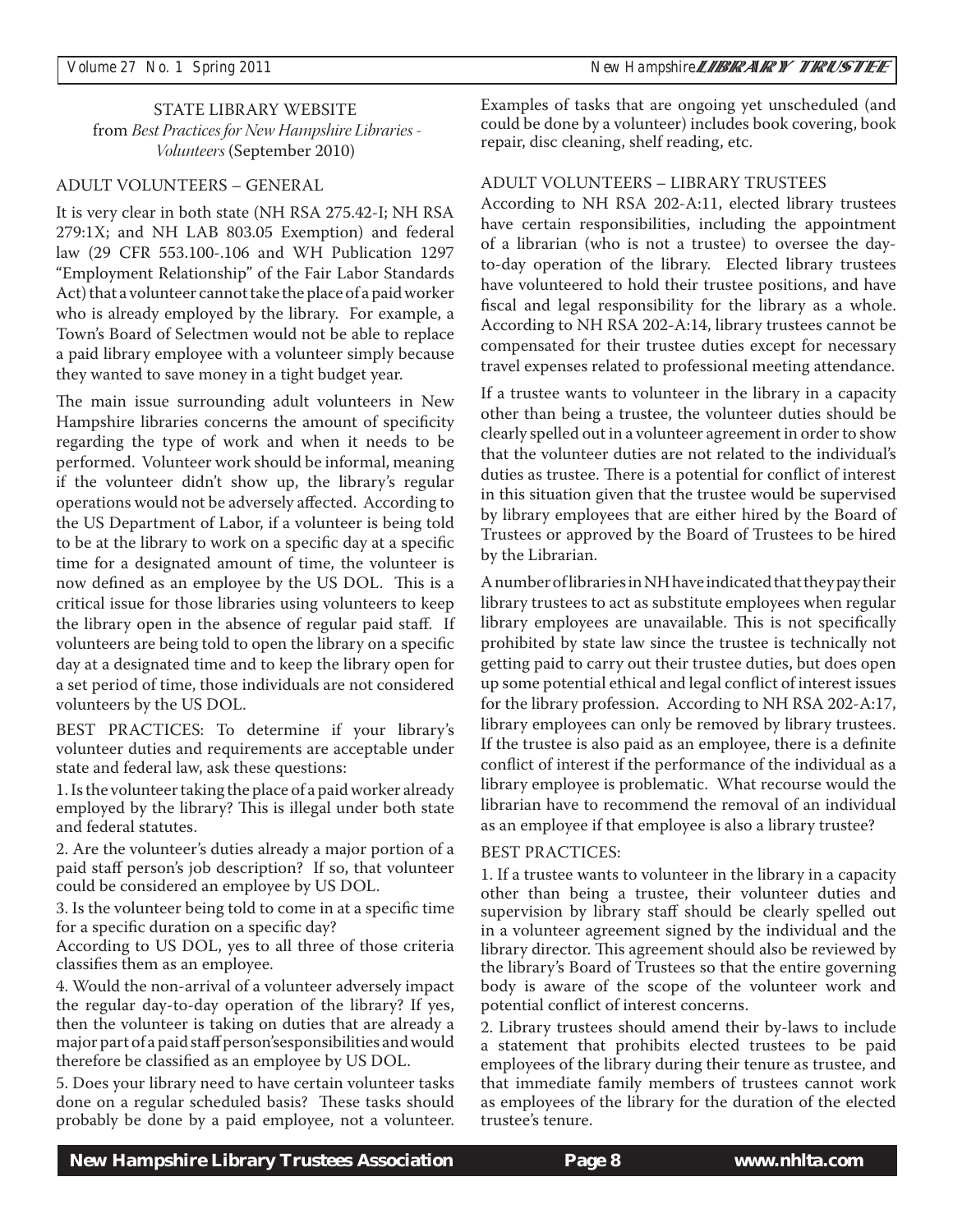STATE LIBRARY WEBSITE from *Best Practices for New Hampshire Libraries - Volunteers* (September 2010)

#### ADULT VOLUNTEERS – GENERAL

It is very clear in both state (NH RSA 275.42-I; NH RSA 279:1X; and NH LAB 803.05 Exemption) and federal law (29 CFR 553.100-.106 and WH Publication 1297 "Employment Relationship" of the Fair Labor Standards Act) that a volunteer cannot take the place of a paid worker who is already employed by the library. For example, a Town's Board of Selectmen would not be able to replace a paid library employee with a volunteer simply because they wanted to save money in a tight budget year.

The main issue surrounding adult volunteers in New Hampshire libraries concerns the amount of specificity regarding the type of work and when it needs to be performed. Volunteer work should be informal, meaning if the volunteer didn't show up, the library's regular operations would not be adversely affected. According to the US Department of Labor, if a volunteer is being told to be at the library to work on a specific day at a specific time for a designated amount of time, the volunteer is now defined as an employee by the US DOL. This is a critical issue for those libraries using volunteers to keep the library open in the absence of regular paid staff. If volunteers are being told to open the library on a specific day at a designated time and to keep the library open for a set period of time, those individuals are not considered volunteers by the US DOL.

BEST PRACTICES: To determine if your library's volunteer duties and requirements are acceptable under state and federal law, ask these questions:

1. Is the volunteer taking the place of a paid worker already employed by the library? This is illegal under both state and federal statutes.

2. Are the volunteer's duties already a major portion of a paid staff person's job description? If so, that volunteer could be considered an employee by US DOL.

3. Is the volunteer being told to come in at a specific time for a specific duration on a specific day?

According to US DOL, yes to all three of those criteria classifies them as an employee.

4. Would the non-arrival of a volunteer adversely impact the regular day-to-day operation of the library? If yes, then the volunteer is taking on duties that are already a major part of a paid staff person'sesponsibilities and would therefore be classified as an employee by US DOL.

5. Does your library need to have certain volunteer tasks done on a regular scheduled basis? These tasks should probably be done by a paid employee, not a volunteer. Examples of tasks that are ongoing yet unscheduled (and could be done by a volunteer) includes book covering, book repair, disc cleaning, shelf reading, etc.

#### ADULT VOLUNTEERS – LIBRARY TRUSTEES

According to NH RSA 202-A:11, elected library trustees have certain responsibilities, including the appointment of a librarian (who is not a trustee) to oversee the dayto-day operation of the library. Elected library trustees have volunteered to hold their trustee positions, and have fiscal and legal responsibility for the library as a whole. According to NH RSA 202-A:14, library trustees cannot be compensated for their trustee duties except for necessary travel expenses related to professional meeting attendance.

If a trustee wants to volunteer in the library in a capacity other than being a trustee, the volunteer duties should be clearly spelled out in a volunteer agreement in order to show that the volunteer duties are not related to the individual's duties as trustee. There is a potential for conflict of interest in this situation given that the trustee would be supervised by library employees that are either hired by the Board of Trustees or approved by the Board of Trustees to be hired by the Librarian.

A number of libraries in NH have indicated that they pay their library trustees to act as substitute employees when regular library employees are unavailable. This is not specifically prohibited by state law since the trustee is technically not getting paid to carry out their trustee duties, but does open up some potential ethical and legal conflict of interest issues for the library profession. According to NH RSA 202-A:17, library employees can only be removed by library trustees. If the trustee is also paid as an employee, there is a definite conflict of interest if the performance of the individual as a library employee is problematic. What recourse would the librarian have to recommend the removal of an individual as an employee if that employee is also a library trustee?

#### BEST PRACTICES:

1. If a trustee wants to volunteer in the library in a capacity other than being a trustee, their volunteer duties and supervision by library staff should be clearly spelled out in a volunteer agreement signed by the individual and the library director. This agreement should also be reviewed by the library's Board of Trustees so that the entire governing body is aware of the scope of the volunteer work and potential conflict of interest concerns.

2. Library trustees should amend their by-laws to include a statement that prohibits elected trustees to be paid employees of the library during their tenure as trustee, and that immediate family members of trustees cannot work as employees of the library for the duration of the elected trustee's tenure.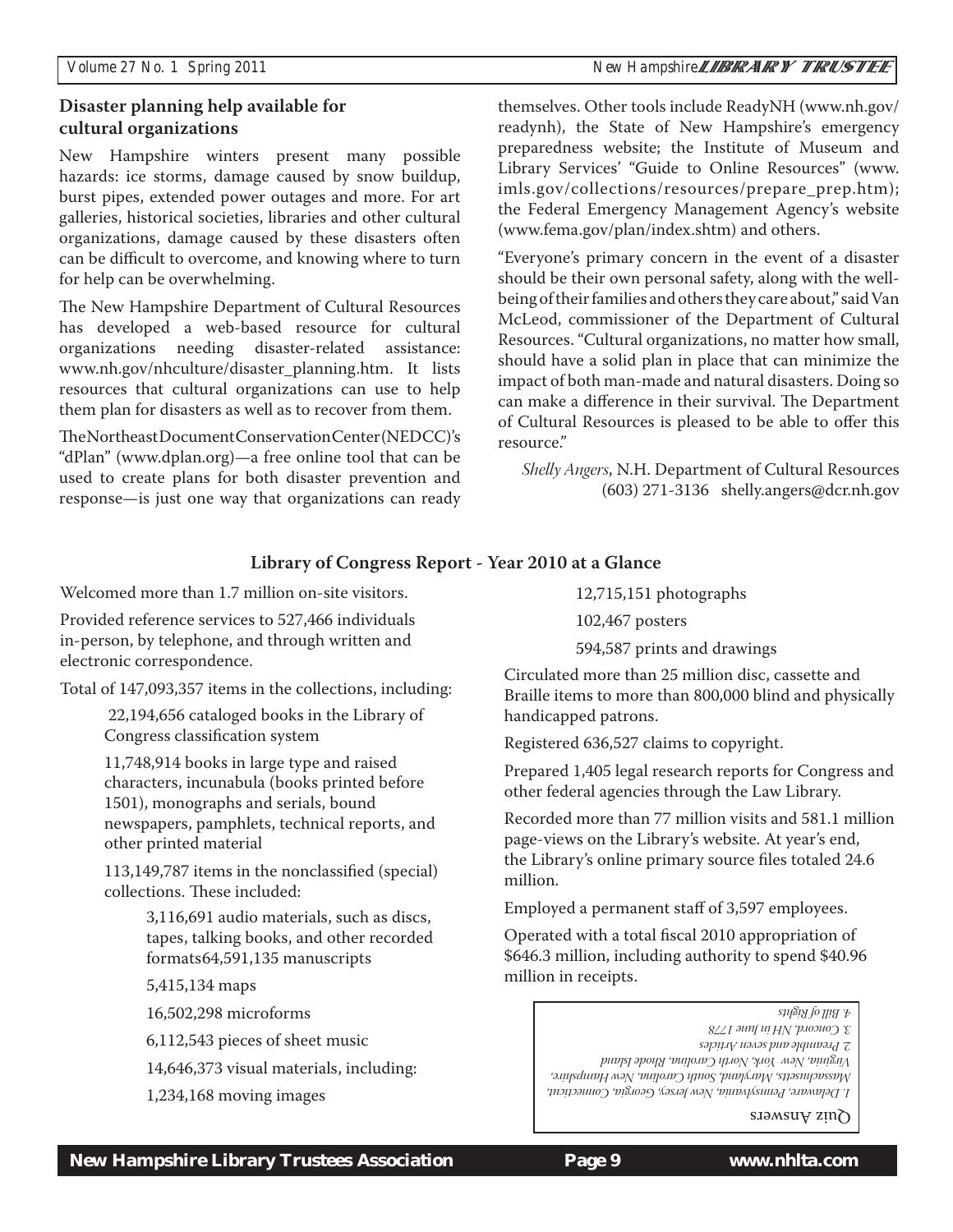#### *Volume 27 No. 1 Spring 2011 New Hampshire*

#### **Disaster planning help available for cultural organizations**

New Hampshire winters present many possible hazards: ice storms, damage caused by snow buildup, burst pipes, extended power outages and more. For art galleries, historical societies, libraries and other cultural organizations, damage caused by these disasters often can be difficult to overcome, and knowing where to turn for help can be overwhelming.

The New Hampshire Department of Cultural Resources has developed a web-based resource for cultural organizations needing disaster-related assistance: www.nh.gov/nhculture/disaster\_planning.htm. It lists resources that cultural organizations can use to help them plan for disasters as well as to recover from them.

The Northeast Document Conservation Center (NEDCC)'s "dPlan" (www.dplan.org)—a free online tool that can be used to create plans for both disaster prevention and response—is just one way that organizations can ready themselves. Other tools include ReadyNH (www.nh.gov/ readynh), the State of New Hampshire's emergency preparedness website; the Institute of Museum and Library Services' "Guide to Online Resources" (www. imls.gov/collections/resources/prepare\_prep.htm); the Federal Emergency Management Agency's website (www.fema.gov/plan/index.shtm) and others.

"Everyone's primary concern in the event of a disaster should be their own personal safety, along with the wellbeing of their families and others they care about," said Van McLeod, commissioner of the Department of Cultural Resources. "Cultural organizations, no matter how small, should have a solid plan in place that can minimize the impact of both man-made and natural disasters. Doing so can make a difference in their survival. The Department of Cultural Resources is pleased to be able to offer this resource."

*Shelly Angers*, N.H. Department of Cultural Resources (603) 271-3136 shelly.angers@dcr.nh.gov

#### **Library of Congress Report - Year 2010 at a Glance**

Welcomed more than 1.7 million on-site visitors.

Provided reference services to 527,466 individuals in-person, by telephone, and through written and electronic correspondence.

 22,194,656 cataloged books in the Library of Congress classification system

11,748,914 books in large type and raised characters, incunabula (books printed before 1501), monographs and serials, bound newspapers, pamphlets, technical reports, and other printed material

113,149,787 items in the nonclassified (special) collections. These included:

> 3,116,691 audio materials, such as discs, tapes, talking books, and other recorded formats 64,591,135 manuscripts

5,415,134 maps

16,502,298 microforms

6,112,543 pieces of sheet music

14,646,373 visual materials, including:

1,234,168 moving images

12,715,151 photographs

102,467 posters

594,587 prints and drawings

Total of 147,093,357 items in the collections, including:<br>Total of 147,093,357 items in the collections, including:<br>Resultations to more than 800,000 blind and physi Braille items to more than 800,000 blind and physically handicapped patrons.

Registered 636,527 claims to copyright.

Prepared 1,405 legal research reports for Congress and other federal agencies through the Law Library.

Recorded more than 77 million visits and 581.1 million page-views on the Library's website. At year's end, the Library's online primary source files totaled 24.6 million.

Employed a permanent staff of 3,597 employees.

Operated with a total fiscal 2010 appropriation of \$646.3 million, including authority to spend \$40.96 million in receipts.

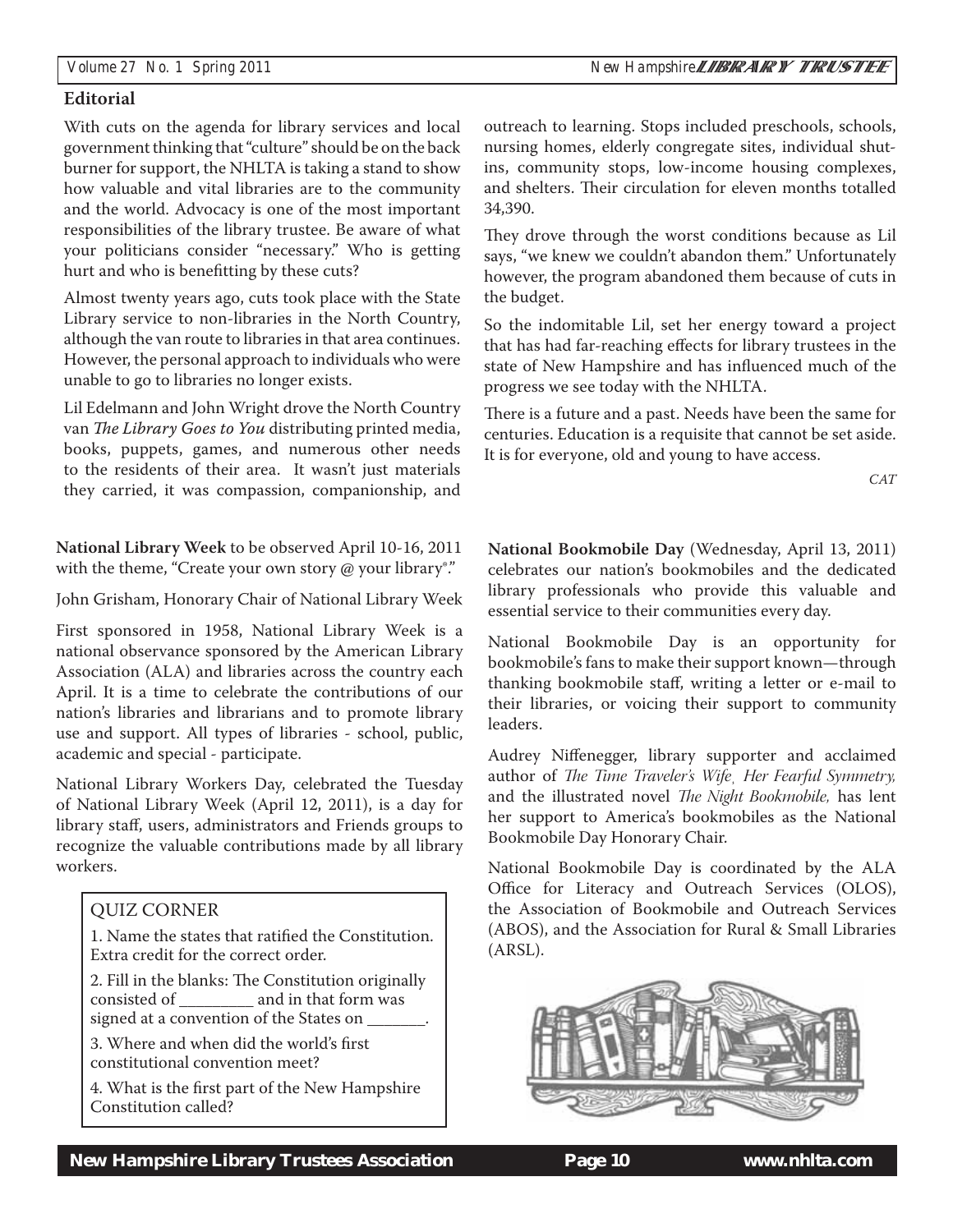#### **Editorial**

With cuts on the agenda for library services and local government thinking that "culture" should be on the back burner for support, the NHLTA is taking a stand to show how valuable and vital libraries are to the community and the world. Advocacy is one of the most important responsibilities of the library trustee. Be aware of what your politicians consider "necessary." Who is getting hurt and who is benefitting by these cuts?

Almost twenty years ago, cuts took place with the State Library service to non-libraries in the North Country, although the van route to libraries in that area continues. However, the personal approach to individuals who were unable to go to libraries no longer exists.

Lil Edelmann and John Wright drove the North Country van *The Library Goes to You* distributing printed media, books, puppets, games, and numerous other needs to the residents of their area. It wasn't just materials they carried, it was compassion, companionship, and

**National Library Week** to be observed April 10-16, 2011 with the theme, "Create your own story @ your library<sup>®</sup>."

John Grisham, Honorary Chair of National Library Week

First sponsored in 1958, National Library Week is a national observance sponsored by the American Library Association (ALA) and libraries across the country each April. It is a time to celebrate the contributions of our nation's libraries and librarians and to promote library use and support. All types of libraries - school, public, academic and special - participate.

National Library Workers Day, celebrated the Tuesday of National Library Week (April 12, 2011), is a day for library staff, users, administrators and Friends groups to recognize the valuable contributions made by all library workers.

#### QUIZ CORNER

1. Name the states that ratified the Constitution. Extra credit for the correct order.

2. Fill in the blanks: The Constitution originally consisted of **and in that form was** signed at a convention of the States on

3. Where and when did the world's first constitutional convention meet?

4. What is the first part of the New Hampshire Constitution called?

outreach to learning. Stops included preschools, schools, nursing homes, elderly congregate sites, individual shutins, community stops, low-income housing complexes, and shelters. Their circulation for eleven months totalled 34,390.

They drove through the worst conditions because as Lil says, "we knew we couldn't abandon them." Unfortunately however, the program abandoned them because of cuts in the budget.

So the indomitable Lil, set her energy toward a project that has had far-reaching effects for library trustees in the state of New Hampshire and has influenced much of the progress we see today with the NHLTA.

There is a future and a past. Needs have been the same for centuries. Education is a requisite that cannot be set aside. It is for everyone, old and young to have access.

CAT

**National Bookmobile Day** (Wednesday, April 13, 2011) celebrates our nation's bookmobiles and the dedicated library professionals who provide this valuable and essential service to their communities every day.

National Bookmobile Day is an opportunity for bookmobile's fans to make their support known—through thanking bookmobile staff, writing a letter or e-mail to their libraries, or voicing their support to community leaders.

Audrey Niffenegger, library supporter and acclaimed author of *The Time Traveler's Wife¸ Her Fearful Symmetry,* and the illustrated novel *The Night Bookmobile,* has lent her support to America's bookmobiles as the National Bookmobile Day Honorary Chair.

National Bookmobile Day is coordinated by the ALA Office for Literacy and Outreach Services (OLOS), the Association of Bookmobile and Outreach Services (ABOS), and the Association for Rural & Small Libraries (ARSL).

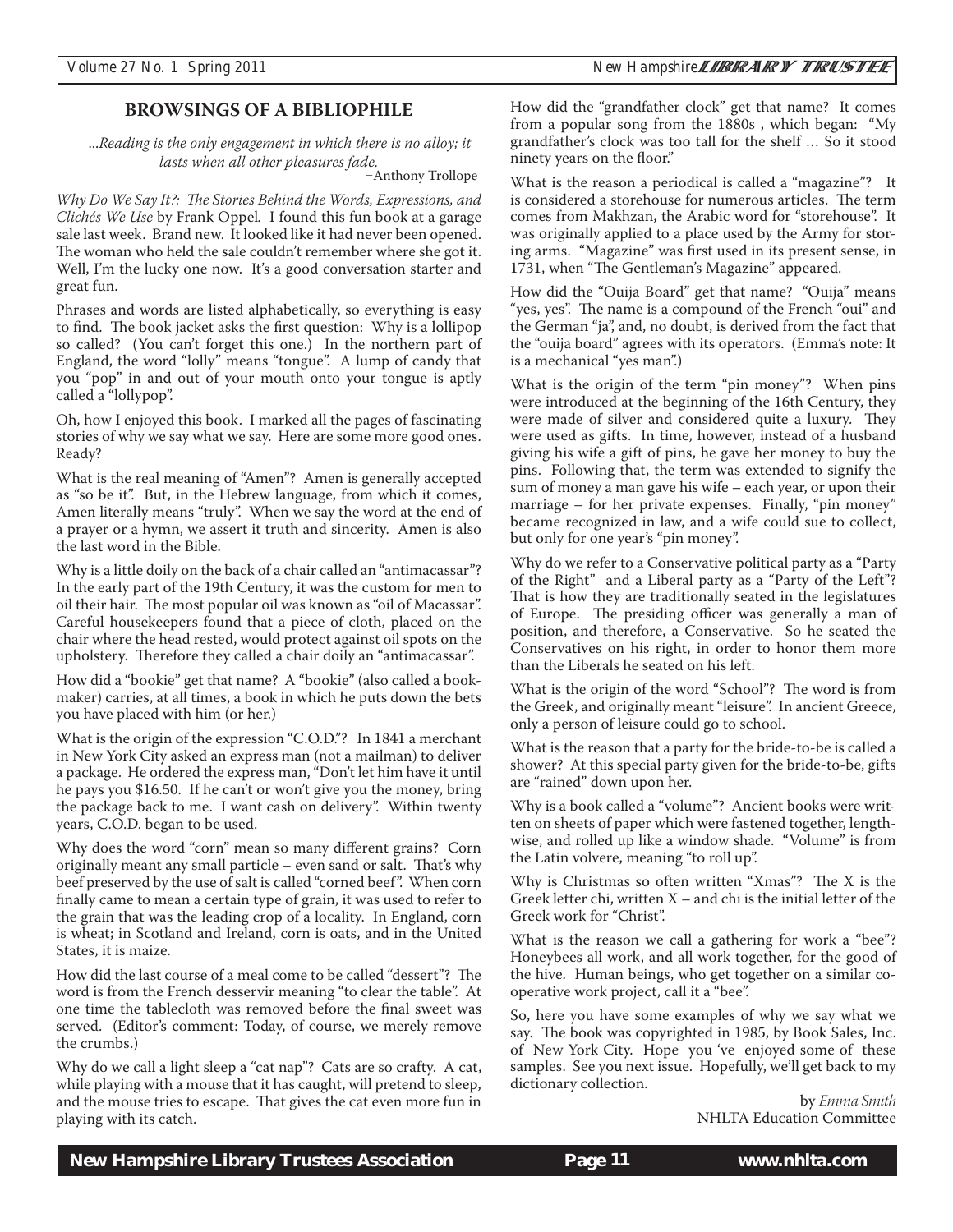#### **BROWSINGS OF A BIBLIOPHILE**

 ...*Reading is the only engagement in which there is no alloy; it lasts when all other pleasures fade.* 

Anthony Trollope

*Why Do We Say It?: The Stories Behind the Words, Expressions, and Clichés We Use* by Frank Oppel*.* I found this fun book at a garage sale last week. Brand new. It looked like it had never been opened. The woman who held the sale couldn't remember where she got it. Well, I'm the lucky one now. It's a good conversation starter and great fun.

Phrases and words are listed alphabetically, so everything is easy to find. The book jacket asks the first question: Why is a lollipop so called? (You can't forget this one.) In the northern part of England, the word "lolly" means "tongue". A lump of candy that you "pop" in and out of your mouth onto your tongue is aptly called a "lollypop".

Oh, how I enjoyed this book. I marked all the pages of fascinating stories of why we say what we say. Here are some more good ones. Ready?

What is the real meaning of "Amen"? Amen is generally accepted as "so be it". But, in the Hebrew language, from which it comes, Amen literally means "truly". When we say the word at the end of a prayer or a hymn, we assert it truth and sincerity. Amen is also the last word in the Bible.

Why is a little doily on the back of a chair called an "antimacassar"? In the early part of the 19th Century, it was the custom for men to oil their hair. The most popular oil was known as "oil of Macassar". Careful housekeepers found that a piece of cloth, placed on the chair where the head rested, would protect against oil spots on the upholstery. Therefore they called a chair doily an "antimacassar".

How did a "bookie" get that name? A "bookie" (also called a bookmaker) carries, at all times, a book in which he puts down the bets you have placed with him (or her.)

What is the origin of the expression "C.O.D."? In 1841 a merchant in New York City asked an express man (not a mailman) to deliver a package. He ordered the express man, "Don't let him have it until he pays you \$16.50. If he can't or won't give you the money, bring the package back to me. I want cash on delivery". Within twenty years, C.O.D. began to be used.

Why does the word "corn" mean so many different grains? Corn originally meant any small particle – even sand or salt. That's why beef preserved by the use of salt is called "corned beef". When corn finally came to mean a certain type of grain, it was used to refer to the grain that was the leading crop of a locality. In England, corn is wheat; in Scotland and Ireland, corn is oats, and in the United States, it is maize.

How did the last course of a meal come to be called "dessert"? The word is from the French desservir meaning "to clear the table". At one time the tablecloth was removed before the final sweet was served. (Editor's comment: Today, of course, we merely remove the crumbs.)

Why do we call a light sleep a "cat nap"? Cats are so crafty. A cat, while playing with a mouse that it has caught, will pretend to sleep, and the mouse tries to escape. That gives the cat even more fun in playing with its catch.

How did the "grandfather clock" get that name? It comes from a popular song from the 1880s , which began: "My grandfather's clock was too tall for the shelf … So it stood ninety years on the floor."

What is the reason a periodical is called a "magazine"? It is considered a storehouse for numerous articles. The term comes from Makhzan, the Arabic word for "storehouse". It was originally applied to a place used by the Army for storing arms. "Magazine" was first used in its present sense, in 1731, when "The Gentleman's Magazine" appeared.

How did the "Ouija Board" get that name? "Ouija" means "yes, yes". The name is a compound of the French "oui" and the German "ja", and, no doubt, is derived from the fact that the "ouija board" agrees with its operators. (Emma's note: It is a mechanical "yes man".)

What is the origin of the term "pin money"? When pins were introduced at the beginning of the 16th Century, they were made of silver and considered quite a luxury. They were used as gifts. In time, however, instead of a husband giving his wife a gift of pins, he gave her money to buy the pins. Following that, the term was extended to signify the sum of money a man gave his wife – each year, or upon their marriage – for her private expenses. Finally, "pin money" became recognized in law, and a wife could sue to collect, but only for one year's "pin money".

Why do we refer to a Conservative political party as a "Party of the Right" and a Liberal party as a "Party of the Left"? That is how they are traditionally seated in the legislatures of Europe. The presiding officer was generally a man of position, and therefore, a Conservative. So he seated the Conservatives on his right, in order to honor them more than the Liberals he seated on his left.

What is the origin of the word "School"? The word is from the Greek, and originally meant "leisure". In ancient Greece, only a person of leisure could go to school.

What is the reason that a party for the bride-to-be is called a shower? At this special party given for the bride-to-be, gifts are "rained" down upon her.

Why is a book called a "volume"? Ancient books were written on sheets of paper which were fastened together, lengthwise, and rolled up like a window shade. "Volume" is from the Latin volvere, meaning "to roll up".

Why is Christmas so often written "Xmas"? The X is the Greek letter chi, written X – and chi is the initial letter of the Greek work for "Christ".

What is the reason we call a gathering for work a "bee"? Honeybees all work, and all work together, for the good of the hive. Human beings, who get together on a similar cooperative work project, call it a "bee".

So, here you have some examples of why we say what we say. The book was copyrighted in 1985, by Book Sales, Inc. of New York City. Hope you 've enjoyed some of these samples. See you next issue. Hopefully, we'll get back to my dictionary collection.

> by Emma Smith NHLTA Education Committee